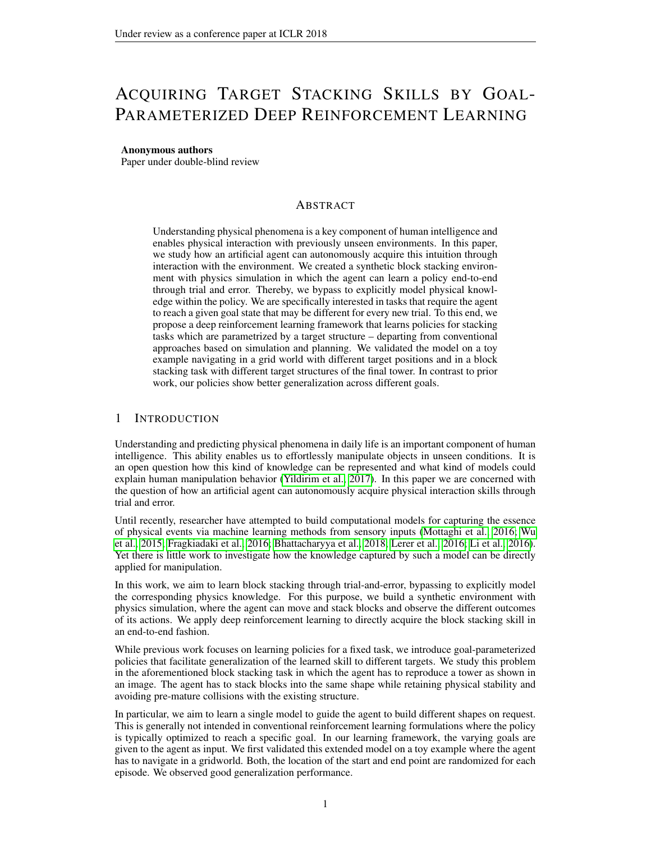# ACQUIRING TARGET STACKING SKILLS BY GOAL-PARAMETERIZED DEEP REINFORCEMENT LEARNING

#### Anonymous authors

Paper under double-blind review

# ABSTRACT

Understanding physical phenomena is a key component of human intelligence and enables physical interaction with previously unseen environments. In this paper, we study how an artificial agent can autonomously acquire this intuition through interaction with the environment. We created a synthetic block stacking environment with physics simulation in which the agent can learn a policy end-to-end through trial and error. Thereby, we bypass to explicitly model physical knowledge within the policy. We are specifically interested in tasks that require the agent to reach a given goal state that may be different for every new trial. To this end, we propose a deep reinforcement learning framework that learns policies for stacking tasks which are parametrized by a target structure – departing from conventional approaches based on simulation and planning. We validated the model on a toy example navigating in a grid world with different target positions and in a block stacking task with different target structures of the final tower. In contrast to prior work, our policies show better generalization across different goals.

# 1 INTRODUCTION

Understanding and predicting physical phenomena in daily life is an important component of human intelligence. This ability enables us to effortlessly manipulate objects in unseen conditions. It is an open question how this kind of knowledge can be represented and what kind of models could explain human manipulation behavior [\(Yildirim et al., 2017\)](#page-9-0). In this paper we are concerned with the question of how an artificial agent can autonomously acquire physical interaction skills through trial and error.

Until recently, researcher have attempted to build computational models for capturing the essence of physical events via machine learning methods from sensory inputs [\(Mottaghi et al., 2016;](#page-9-1) [Wu](#page-9-2) [et al., 2015;](#page-9-2) [Fragkiadaki et al., 2016;](#page-8-0) [Bhattacharyya et al., 2018;](#page-8-1) [Lerer et al., 2016;](#page-9-3) [Li et al., 2016\)](#page-9-4). Yet there is little work to investigate how the knowledge captured by such a model can be directly applied for manipulation.

In this work, we aim to learn block stacking through trial-and-error, bypassing to explicitly model the corresponding physics knowledge. For this purpose, we build a synthetic environment with physics simulation, where the agent can move and stack blocks and observe the different outcomes of its actions. We apply deep reinforcement learning to directly acquire the block stacking skill in an end-to-end fashion.

While previous work focuses on learning policies for a fixed task, we introduce goal-parameterized policies that facilitate generalization of the learned skill to different targets. We study this problem in the aforementioned block stacking task in which the agent has to reproduce a tower as shown in an image. The agent has to stack blocks into the same shape while retaining physical stability and avoiding pre-mature collisions with the existing structure.

In particular, we aim to learn a single model to guide the agent to build different shapes on request. This is generally not intended in conventional reinforcement learning formulations where the policy is typically optimized to reach a specific goal. In our learning framework, the varying goals are given to the agent as input. We first validated this extended model on a toy example where the agent has to navigate in a gridworld. Both, the location of the start and end point are randomized for each episode. We observed good generalization performance.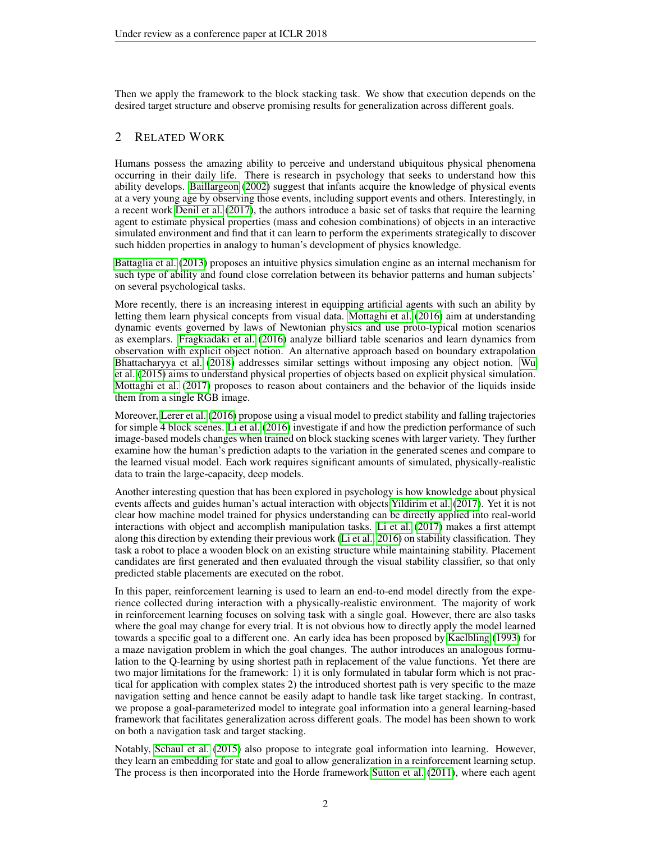Then we apply the framework to the block stacking task. We show that execution depends on the desired target structure and observe promising results for generalization across different goals.

# 2 RELATED WORK

Humans possess the amazing ability to perceive and understand ubiquitous physical phenomena occurring in their daily life. There is research in psychology that seeks to understand how this ability develops. [Baillargeon](#page-8-2) [\(2002\)](#page-8-2) suggest that infants acquire the knowledge of physical events at a very young age by observing those events, including support events and others. Interestingly, in a recent work [Denil et al.](#page-8-3) [\(2017\)](#page-8-3), the authors introduce a basic set of tasks that require the learning agent to estimate physical properties (mass and cohesion combinations) of objects in an interactive simulated environment and find that it can learn to perform the experiments strategically to discover such hidden properties in analogy to human's development of physics knowledge.

[Battaglia et al.](#page-8-4) [\(2013\)](#page-8-4) proposes an intuitive physics simulation engine as an internal mechanism for such type of ability and found close correlation between its behavior patterns and human subjects' on several psychological tasks.

More recently, there is an increasing interest in equipping artificial agents with such an ability by letting them learn physical concepts from visual data. [Mottaghi et al.](#page-9-1) [\(2016\)](#page-9-1) aim at understanding dynamic events governed by laws of Newtonian physics and use proto-typical motion scenarios as exemplars. [Fragkiadaki et al.](#page-8-0) [\(2016\)](#page-8-0) analyze billiard table scenarios and learn dynamics from observation with explicit object notion. An alternative approach based on boundary extrapolation [Bhattacharyya et al.](#page-8-1) [\(2018\)](#page-8-1) addresses similar settings without imposing any object notion. [Wu](#page-9-2) [et al.](#page-9-2) [\(2015\)](#page-9-2) aims to understand physical properties of objects based on explicit physical simulation. [Mottaghi et al.](#page-9-5) [\(2017\)](#page-9-5) proposes to reason about containers and the behavior of the liquids inside them from a single RGB image.

Moreover, [Lerer et al.](#page-9-3) [\(2016\)](#page-9-3) propose using a visual model to predict stability and falling trajectories for simple 4 block scenes. [Li et al.](#page-9-4) [\(2016\)](#page-9-4) investigate if and how the prediction performance of such image-based models changes when trained on block stacking scenes with larger variety. They further examine how the human's prediction adapts to the variation in the generated scenes and compare to the learned visual model. Each work requires significant amounts of simulated, physically-realistic data to train the large-capacity, deep models.

Another interesting question that has been explored in psychology is how knowledge about physical events affects and guides human's actual interaction with objects [Yildirim et al.](#page-9-0) [\(2017\)](#page-9-0). Yet it is not clear how machine model trained for physics understanding can be directly applied into real-world interactions with object and accomplish manipulation tasks. [Li et al.](#page-9-6) [\(2017\)](#page-9-6) makes a first attempt along this direction by extending their previous work [\(Li et al., 2016\)](#page-9-4) on stability classification. They task a robot to place a wooden block on an existing structure while maintaining stability. Placement candidates are first generated and then evaluated through the visual stability classifier, so that only predicted stable placements are executed on the robot.

In this paper, reinforcement learning is used to learn an end-to-end model directly from the experience collected during interaction with a physically-realistic environment. The majority of work in reinforcement learning focuses on solving task with a single goal. However, there are also tasks where the goal may change for every trial. It is not obvious how to directly apply the model learned towards a specific goal to a different one. An early idea has been proposed by [Kaelbling](#page-9-7) [\(1993\)](#page-9-7) for a maze navigation problem in which the goal changes. The author introduces an analogous formulation to the Q-learning by using shortest path in replacement of the value functions. Yet there are two major limitations for the framework: 1) it is only formulated in tabular form which is not practical for application with complex states 2) the introduced shortest path is very specific to the maze navigation setting and hence cannot be easily adapt to handle task like target stacking. In contrast, we propose a goal-parameterized model to integrate goal information into a general learning-based framework that facilitates generalization across different goals. The model has been shown to work on both a navigation task and target stacking.

Notably, [Schaul et al.](#page-9-8) [\(2015\)](#page-9-8) also propose to integrate goal information into learning. However, they learn an embedding for state and goal to allow generalization in a reinforcement learning setup. The process is then incorporated into the Horde framework [Sutton et al.](#page-9-9) [\(2011\)](#page-9-9), where each agent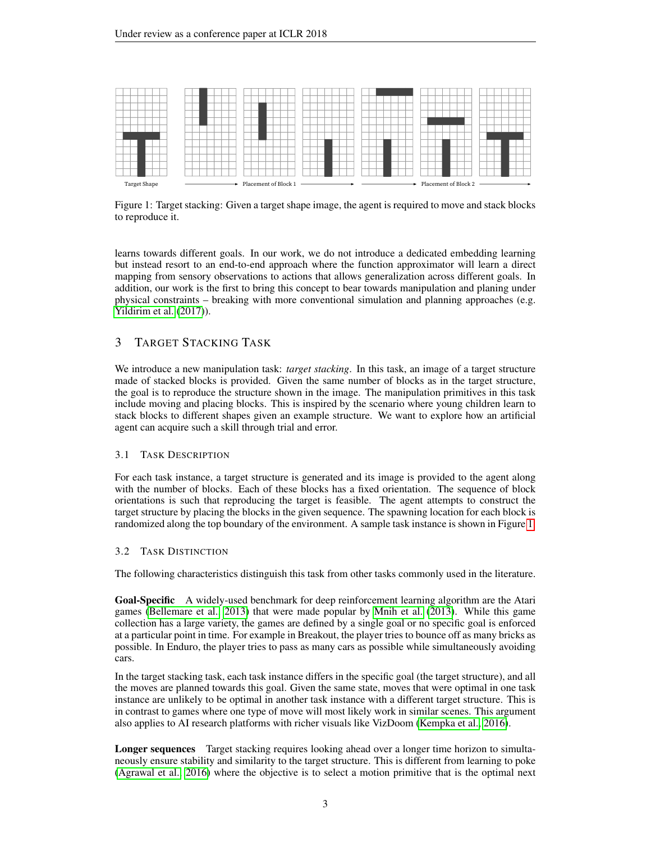<span id="page-2-0"></span>

Figure 1: Target stacking: Given a target shape image, the agent is required to move and stack blocks to reproduce it.

learns towards different goals. In our work, we do not introduce a dedicated embedding learning but instead resort to an end-to-end approach where the function approximator will learn a direct mapping from sensory observations to actions that allows generalization across different goals. In addition, our work is the first to bring this concept to bear towards manipulation and planing under physical constraints – breaking with more conventional simulation and planning approaches (e.g. [Yildirim et al.](#page-9-0) [\(2017\)](#page-9-0)).

# 3 TARGET STACKING TASK

We introduce a new manipulation task: *target stacking*. In this task, an image of a target structure made of stacked blocks is provided. Given the same number of blocks as in the target structure, the goal is to reproduce the structure shown in the image. The manipulation primitives in this task include moving and placing blocks. This is inspired by the scenario where young children learn to stack blocks to different shapes given an example structure. We want to explore how an artificial agent can acquire such a skill through trial and error.

## 3.1 TASK DESCRIPTION

For each task instance, a target structure is generated and its image is provided to the agent along with the number of blocks. Each of these blocks has a fixed orientation. The sequence of block orientations is such that reproducing the target is feasible. The agent attempts to construct the target structure by placing the blocks in the given sequence. The spawning location for each block is randomized along the top boundary of the environment. A sample task instance is shown in Figure [1.](#page-2-0)

## 3.2 TASK DISTINCTION

The following characteristics distinguish this task from other tasks commonly used in the literature.

Goal-Specific A widely-used benchmark for deep reinforcement learning algorithm are the Atari games [\(Bellemare et al., 2013\)](#page-8-5) that were made popular by [Mnih et al.](#page-9-10) [\(2013\)](#page-9-10). While this game collection has a large variety, the games are defined by a single goal or no specific goal is enforced at a particular point in time. For example in Breakout, the player tries to bounce off as many bricks as possible. In Enduro, the player tries to pass as many cars as possible while simultaneously avoiding cars.

In the target stacking task, each task instance differs in the specific goal (the target structure), and all the moves are planned towards this goal. Given the same state, moves that were optimal in one task instance are unlikely to be optimal in another task instance with a different target structure. This is in contrast to games where one type of move will most likely work in similar scenes. This argument also applies to AI research platforms with richer visuals like VizDoom [\(Kempka et al., 2016\)](#page-9-11).

Longer sequences Target stacking requires looking ahead over a longer time horizon to simultaneously ensure stability and similarity to the target structure. This is different from learning to poke [\(Agrawal et al., 2016\)](#page-8-6) where the objective is to select a motion primitive that is the optimal next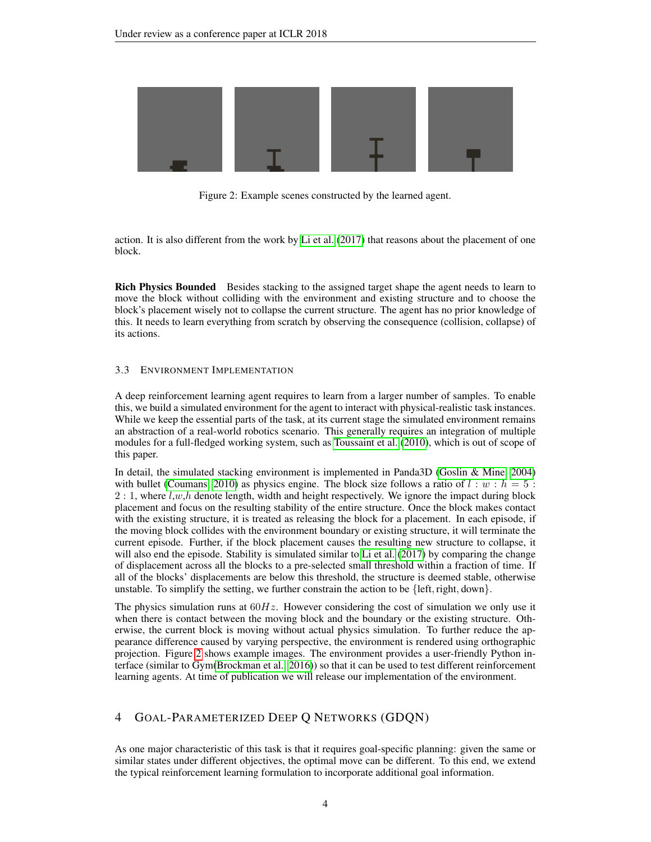<span id="page-3-0"></span>

Figure 2: Example scenes constructed by the learned agent.

action. It is also different from the work by [Li et al.](#page-9-6) [\(2017\)](#page-9-6) that reasons about the placement of one block.

Rich Physics Bounded Besides stacking to the assigned target shape the agent needs to learn to move the block without colliding with the environment and existing structure and to choose the block's placement wisely not to collapse the current structure. The agent has no prior knowledge of this. It needs to learn everything from scratch by observing the consequence (collision, collapse) of its actions.

#### 3.3 ENVIRONMENT IMPLEMENTATION

A deep reinforcement learning agent requires to learn from a larger number of samples. To enable this, we build a simulated environment for the agent to interact with physical-realistic task instances. While we keep the essential parts of the task, at its current stage the simulated environment remains an abstraction of a real-world robotics scenario. This generally requires an integration of multiple modules for a full-fledged working system, such as [Toussaint et al.](#page-9-12) [\(2010\)](#page-9-12), which is out of scope of this paper.

In detail, the simulated stacking environment is implemented in Panda3D [\(Goslin & Mine, 2004\)](#page-8-7) with bullet [\(Coumans, 2010\)](#page-8-8) as physics engine. The block size follows a ratio of  $l : w : h = 5$ :  $2:1$ , where  $l, w, h$  denote length, width and height respectively. We ignore the impact during block placement and focus on the resulting stability of the entire structure. Once the block makes contact with the existing structure, it is treated as releasing the block for a placement. In each episode, if the moving block collides with the environment boundary or existing structure, it will terminate the current episode. Further, if the block placement causes the resulting new structure to collapse, it will also end the episode. Stability is simulated similar to [Li et al.](#page-9-6) [\(2017\)](#page-9-6) by comparing the change of displacement across all the blocks to a pre-selected small threshold within a fraction of time. If all of the blocks' displacements are below this threshold, the structure is deemed stable, otherwise unstable. To simplify the setting, we further constrain the action to be  $\{\text{left}, \text{right}, \text{down}\}.$ 

The physics simulation runs at  $60Hz$ . However considering the cost of simulation we only use it when there is contact between the moving block and the boundary or the existing structure. Otherwise, the current block is moving without actual physics simulation. To further reduce the appearance difference caused by varying perspective, the environment is rendered using orthographic projection. Figure [2](#page-3-0) shows example images. The environment provides a user-friendly Python interface (similar to Gym[\(Brockman et al., 2016\)](#page-8-9)) so that it can be used to test different reinforcement learning agents. At time of publication we will release our implementation of the environment.

# 4 GOAL-PARAMETERIZED DEEP Q NETWORKS (GDQN)

As one major characteristic of this task is that it requires goal-specific planning: given the same or similar states under different objectives, the optimal move can be different. To this end, we extend the typical reinforcement learning formulation to incorporate additional goal information.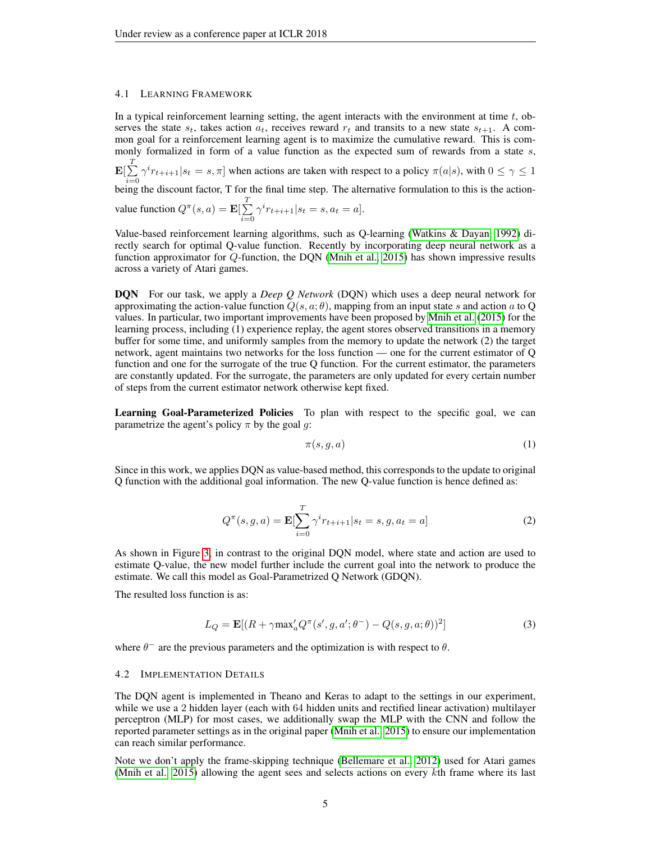#### 4.1 LEARNING FRAMEWORK

In a typical reinforcement learning setting, the agent interacts with the environment at time  $t$ , observes the state  $s_t$ , takes action  $a_t$ , receives reward  $r_t$  and transits to a new state  $s_{t+1}$ . A common goal for a reinforcement learning agent is to maximize the cumulative reward. This is commonly formalized in form of a value function as the expected sum of rewards from a state s,  $\mathbf{E}[\sum^T$  $i=0$  $\gamma^{i}r_{t+i+1}|s_t = s, \pi]$  when actions are taken with respect to a policy  $\pi(a|s)$ , with  $0 \le \gamma \le 1$ being the discount factor, T for the final time step. The alternative formulation to this is the action-

value function 
$$
Q^{\pi}(s, a) = \mathbf{E} \left[ \sum_{i=0}^{T} \gamma^{i} r_{t+i+1} | s_t = s, a_t = a \right].
$$

Value-based reinforcement learning algorithms, such as Q-learning [\(Watkins & Dayan, 1992\)](#page-9-13) directly search for optimal Q-value function. Recently by incorporating deep neural network as a function approximator for Q-function, the DQN [\(Mnih et al., 2015\)](#page-9-14) has shown impressive results across a variety of Atari games.

DQN For our task, we apply a *Deep Q Network* (DQN) which uses a deep neural network for approximating the action-value function  $Q(s, a; \theta)$ , mapping from an input state s and action a to Q values. In particular, two important improvements have been proposed by [Mnih et al.](#page-9-14) [\(2015\)](#page-9-14) for the learning process, including (1) experience replay, the agent stores observed transitions in a memory buffer for some time, and uniformly samples from the memory to update the network (2) the target network, agent maintains two networks for the loss function — one for the current estimator of Q function and one for the surrogate of the true Q function. For the current estimator, the parameters are constantly updated. For the surrogate, the parameters are only updated for every certain number of steps from the current estimator network otherwise kept fixed.

Learning Goal-Parameterized Policies To plan with respect to the specific goal, we can parametrize the agent's policy  $\pi$  by the goal g:

$$
\pi(s,g,a) \tag{1}
$$

Since in this work, we applies DQN as value-based method, this corresponds to the update to original Q function with the additional goal information. The new Q-value function is hence defined as:

$$
Q^{\pi}(s, g, a) = \mathbf{E}[\sum_{i=0}^{T} \gamma^{i} r_{t+i+1} | s_t = s, g, a_t = a]
$$
 (2)

As shown in Figure [3,](#page-5-0) in contrast to the original DQN model, where state and action are used to estimate Q-value, the new model further include the current goal into the network to produce the estimate. We call this model as Goal-Parametrized Q Network (GDQN).

The resulted loss function is as:

$$
L_Q = \mathbf{E}[(R + \gamma \max_a' Q^\pi(s', g, a'; \theta^-) - Q(s, g, a; \theta))^2]
$$
\n(3)

where  $\theta^-$  are the previous parameters and the optimization is with respect to  $\theta$ .

#### 4.2 IMPLEMENTATION DETAILS

The DQN agent is implemented in Theano and Keras to adapt to the settings in our experiment, while we use a 2 hidden layer (each with 64 hidden units and rectified linear activation) multilayer perceptron (MLP) for most cases, we additionally swap the MLP with the CNN and follow the reported parameter settings as in the original paper [\(Mnih et al., 2015\)](#page-9-14) to ensure our implementation can reach similar performance.

Note we don't apply the frame-skipping technique [\(Bellemare et al., 2012\)](#page-8-10) used for Atari games [\(Mnih et al., 2015\)](#page-9-14) allowing the agent sees and selects actions on every  $k$ th frame where its last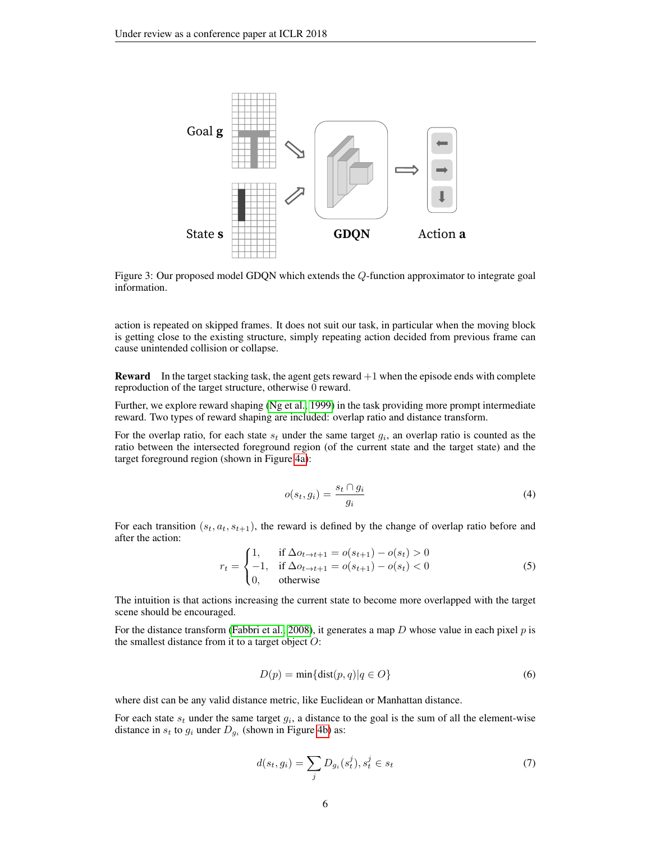<span id="page-5-0"></span>

Figure 3: Our proposed model GDQN which extends the Q-function approximator to integrate goal information.

action is repeated on skipped frames. It does not suit our task, in particular when the moving block is getting close to the existing structure, simply repeating action decided from previous frame can cause unintended collision or collapse.

**Reward** In the target stacking task, the agent gets reward  $+1$  when the episode ends with complete reproduction of the target structure, otherwise 0 reward.

Further, we explore reward shaping [\(Ng et al., 1999\)](#page-9-15) in the task providing more prompt intermediate reward. Two types of reward shaping are included: overlap ratio and distance transform.

<span id="page-5-1"></span>For the overlap ratio, for each state  $s_t$  under the same target  $g_i$ , an overlap ratio is counted as the ratio between the intersected foreground region (of the current state and the target state) and the target foreground region (shown in Figure [4a\)](#page-6-0):

$$
o(s_t, g_i) = \frac{s_t \cap g_i}{g_i} \tag{4}
$$

For each transition  $(s_t, a_t, s_{t+1})$ , the reward is defined by the change of overlap ratio before and after the action:

$$
r_{t} = \begin{cases} 1, & \text{if } \Delta o_{t \to t+1} = o(s_{t+1}) - o(s_{t}) > 0 \\ -1, & \text{if } \Delta o_{t \to t+1} = o(s_{t+1}) - o(s_{t}) < 0 \\ 0, & \text{otherwise} \end{cases}
$$
(5)

The intuition is that actions increasing the current state to become more overlapped with the target scene should be encouraged.

For the distance transform [\(Fabbri et al., 2008\)](#page-8-11), it generates a map  $D$  whose value in each pixel  $p$  is the smallest distance from it to a target object  $O$ :

$$
D(p) = \min\{\text{dist}(p, q) | q \in O\}
$$
\n(6)

where dist can be any valid distance metric, like Euclidean or Manhattan distance.

For each state  $s_t$  under the same target  $g_i$ , a distance to the goal is the sum of all the element-wise distance in  $s_t$  to  $g_i$  under  $D_{g_i}$  (shown in Figure [4b\)](#page-6-0) as:

$$
d(s_t, g_i) = \sum_j D_{g_i}(s_t^j), s_t^j \in s_t
$$
\n(7)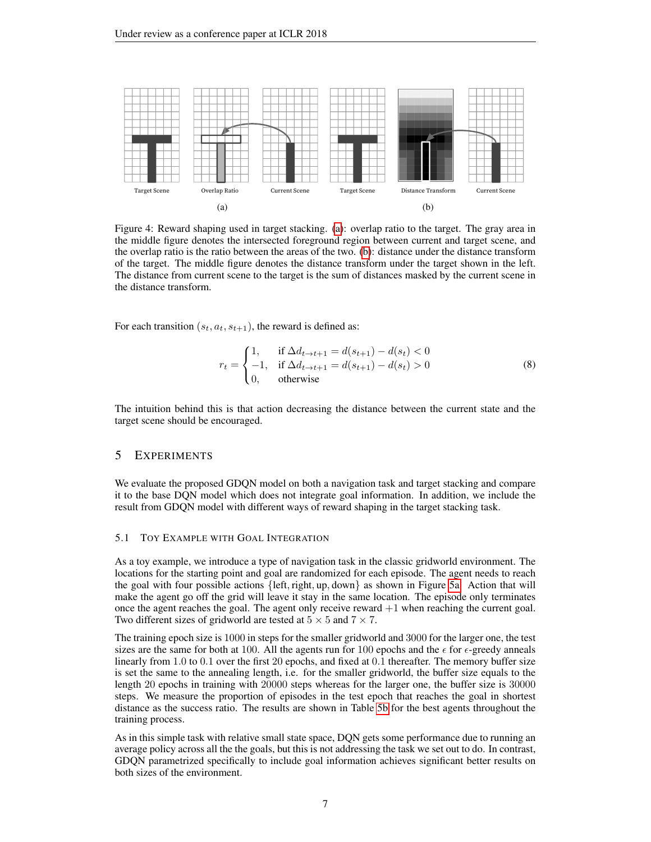<span id="page-6-0"></span>

Figure 4: Reward shaping used in target stacking. [\(a\)](#page-6-0): overlap ratio to the target. The gray area in the middle figure denotes the intersected foreground region between current and target scene, and the overlap ratio is the ratio between the areas of the two. [\(b\)](#page-6-0): distance under the distance transform of the target. The middle figure denotes the distance transform under the target shown in the left. The distance from current scene to the target is the sum of distances masked by the current scene in the distance transform.

For each transition  $(s_t, a_t, s_{t+1})$ , the reward is defined as:

$$
r_{t} = \begin{cases} 1, & \text{if } \Delta d_{t \to t+1} = d(s_{t+1}) - d(s_{t}) < 0\\ -1, & \text{if } \Delta d_{t \to t+1} = d(s_{t+1}) - d(s_{t}) > 0\\ 0, & \text{otherwise} \end{cases}
$$
(8)

The intuition behind this is that action decreasing the distance between the current state and the target scene should be encouraged.

# 5 EXPERIMENTS

We evaluate the proposed GDQN model on both a navigation task and target stacking and compare it to the base DQN model which does not integrate goal information. In addition, we include the result from GDQN model with different ways of reward shaping in the target stacking task.

#### 5.1 TOY EXAMPLE WITH GOAL INTEGRATION

As a toy example, we introduce a type of navigation task in the classic gridworld environment. The locations for the starting point and goal are randomized for each episode. The agent needs to reach the goal with four possible actions  $\{left, right, up, down\}$  as shown in Figure [5a.](#page-7-0) Action that will make the agent go off the grid will leave it stay in the same location. The episode only terminates once the agent reaches the goal. The agent only receive reward  $+1$  when reaching the current goal. Two different sizes of gridworld are tested at  $5 \times 5$  and  $7 \times 7$ .

The training epoch size is 1000 in steps for the smaller gridworld and 3000 for the larger one, the test sizes are the same for both at 100. All the agents run for 100 epochs and the  $\epsilon$  for  $\epsilon$ -greedy anneals linearly from 1.0 to 0.1 over the first 20 epochs, and fixed at 0.1 thereafter. The memory buffer size is set the same to the annealing length, i.e. for the smaller gridworld, the buffer size equals to the length 20 epochs in training with 20000 steps whereas for the larger one, the buffer size is 30000 steps. We measure the proportion of episodes in the test epoch that reaches the goal in shortest distance as the success ratio. The results are shown in Table [5b](#page-7-0) for the best agents throughout the training process.

As in this simple task with relative small state space, DQN gets some performance due to running an average policy across all the the goals, but this is not addressing the task we set out to do. In contrast, GDQN parametrized specifically to include goal information achieves significant better results on both sizes of the environment.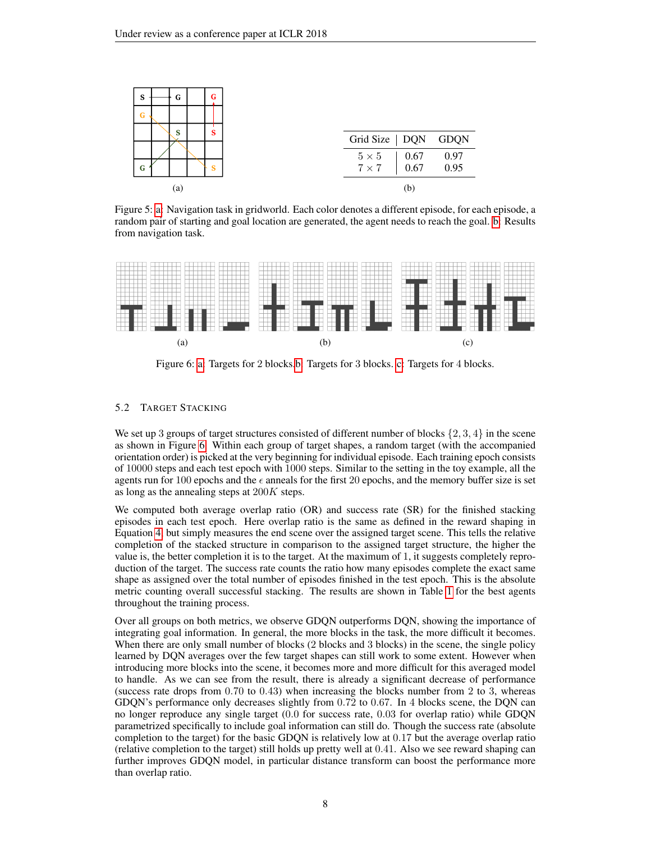<span id="page-7-0"></span>

Figure 5: [a:](#page-7-0) Navigation task in gridworld. Each color denotes a different episode, for each episode, a random pair of starting and goal location are generated, the agent needs to reach the goal. [b:](#page-7-0) Results from navigation task.

<span id="page-7-1"></span>

Figure 6: [a:](#page-7-1) Targets for 2 blocks[.b:](#page-7-1) Targets for 3 blocks. [c:](#page-7-1) Targets for 4 blocks.

## 5.2 TARGET STACKING

We set up 3 groups of target structures consisted of different number of blocks  $\{2, 3, 4\}$  in the scene as shown in Figure [6.](#page-7-1) Within each group of target shapes, a random target (with the accompanied orientation order) is picked at the very beginning for individual episode. Each training epoch consists of 10000 steps and each test epoch with 1000 steps. Similar to the setting in the toy example, all the agents run for 100 epochs and the  $\epsilon$  anneals for the first 20 epochs, and the memory buffer size is set as long as the annealing steps at  $200K$  steps.

We computed both average overlap ratio (OR) and success rate (SR) for the finished stacking episodes in each test epoch. Here overlap ratio is the same as defined in the reward shaping in Equation [4,](#page-5-1) but simply measures the end scene over the assigned target scene. This tells the relative completion of the stacked structure in comparison to the assigned target structure, the higher the value is, the better completion it is to the target. At the maximum of 1, it suggests completely reproduction of the target. The success rate counts the ratio how many episodes complete the exact same shape as assigned over the total number of episodes finished in the test epoch. This is the absolute metric counting overall successful stacking. The results are shown in Table [1](#page-8-12) for the best agents throughout the training process.

Over all groups on both metrics, we observe GDQN outperforms DQN, showing the importance of integrating goal information. In general, the more blocks in the task, the more difficult it becomes. When there are only small number of blocks (2 blocks and 3 blocks) in the scene, the single policy learned by DQN averages over the few target shapes can still work to some extent. However when introducing more blocks into the scene, it becomes more and more difficult for this averaged model to handle. As we can see from the result, there is already a significant decrease of performance (success rate drops from  $0.70$  to  $0.43$ ) when increasing the blocks number from 2 to 3, whereas GDQN's performance only decreases slightly from 0.72 to 0.67. In 4 blocks scene, the DQN can no longer reproduce any single target (0.0 for success rate, 0.03 for overlap ratio) while GDQN parametrized specifically to include goal information can still do. Though the success rate (absolute completion to the target) for the basic GDQN is relatively low at 0.17 but the average overlap ratio (relative completion to the target) still holds up pretty well at 0.41. Also we see reward shaping can further improves GDQN model, in particular distance transform can boost the performance more than overlap ratio.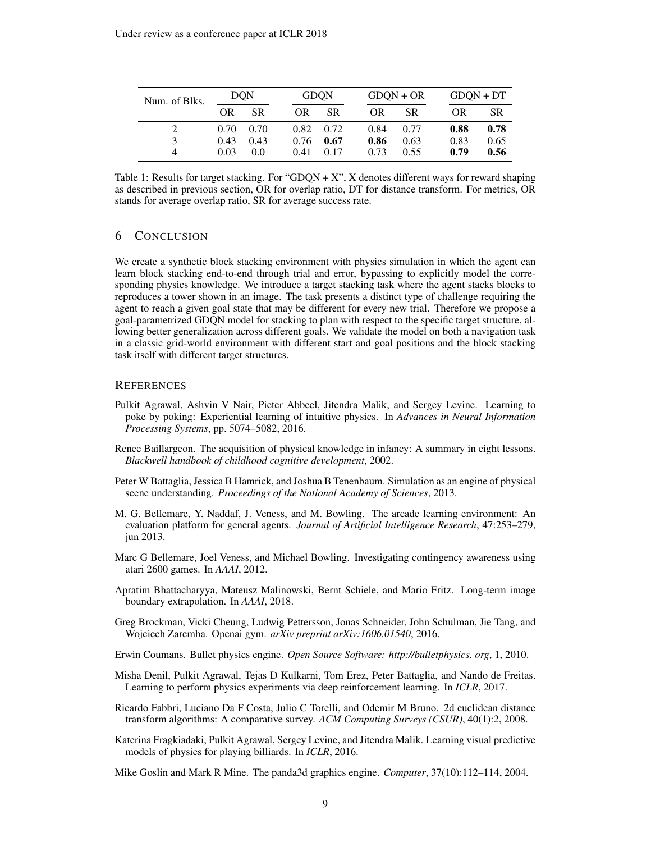<span id="page-8-12"></span>

| Num. of Blks. | <b>DQN</b> |           | <b>GDON</b> |           | $G$ DON + OR |      | $G$ DQN + DT |           |
|---------------|------------|-----------|-------------|-----------|--------------|------|--------------|-----------|
|               | OR.        | <b>SR</b> | OR.         | <b>SR</b> | <b>OR</b>    | SR.  | <b>OR</b>    | <b>SR</b> |
|               | 0.70       | - 0.70    | 0.82        | 0.72      | 0.84         | 0.77 | 0.88         | 0.78      |
|               | 0.43       | 0.43      | 0.76        | 0.67      | 0.86         | 0.63 | 0.83         | 0.65      |
| 4             | 0.03       | 0.0       | 0.41        | 0.17      | 0.73         | 0.55 | 0.79         | 0.56      |

Table 1: Results for target stacking. For "GDQN  $+ X$ ", X denotes different ways for reward shaping as described in previous section, OR for overlap ratio, DT for distance transform. For metrics, OR stands for average overlap ratio, SR for average success rate.

## 6 CONCLUSION

We create a synthetic block stacking environment with physics simulation in which the agent can learn block stacking end-to-end through trial and error, bypassing to explicitly model the corresponding physics knowledge. We introduce a target stacking task where the agent stacks blocks to reproduces a tower shown in an image. The task presents a distinct type of challenge requiring the agent to reach a given goal state that may be different for every new trial. Therefore we propose a goal-parametrized GDQN model for stacking to plan with respect to the specific target structure, allowing better generalization across different goals. We validate the model on both a navigation task in a classic grid-world environment with different start and goal positions and the block stacking task itself with different target structures.

## **REFERENCES**

- <span id="page-8-6"></span>Pulkit Agrawal, Ashvin V Nair, Pieter Abbeel, Jitendra Malik, and Sergey Levine. Learning to poke by poking: Experiential learning of intuitive physics. In *Advances in Neural Information Processing Systems*, pp. 5074–5082, 2016.
- <span id="page-8-2"></span>Renee Baillargeon. The acquisition of physical knowledge in infancy: A summary in eight lessons. *Blackwell handbook of childhood cognitive development*, 2002.
- <span id="page-8-4"></span>Peter W Battaglia, Jessica B Hamrick, and Joshua B Tenenbaum. Simulation as an engine of physical scene understanding. *Proceedings of the National Academy of Sciences*, 2013.
- <span id="page-8-5"></span>M. G. Bellemare, Y. Naddaf, J. Veness, and M. Bowling. The arcade learning environment: An evaluation platform for general agents. *Journal of Artificial Intelligence Research*, 47:253–279, jun 2013.
- <span id="page-8-10"></span>Marc G Bellemare, Joel Veness, and Michael Bowling. Investigating contingency awareness using atari 2600 games. In *AAAI*, 2012.
- <span id="page-8-1"></span>Apratim Bhattacharyya, Mateusz Malinowski, Bernt Schiele, and Mario Fritz. Long-term image boundary extrapolation. In *AAAI*, 2018.
- <span id="page-8-9"></span>Greg Brockman, Vicki Cheung, Ludwig Pettersson, Jonas Schneider, John Schulman, Jie Tang, and Wojciech Zaremba. Openai gym. *arXiv preprint arXiv:1606.01540*, 2016.
- <span id="page-8-8"></span>Erwin Coumans. Bullet physics engine. *Open Source Software: http://bulletphysics. org*, 1, 2010.
- <span id="page-8-3"></span>Misha Denil, Pulkit Agrawal, Tejas D Kulkarni, Tom Erez, Peter Battaglia, and Nando de Freitas. Learning to perform physics experiments via deep reinforcement learning. In *ICLR*, 2017.
- <span id="page-8-11"></span>Ricardo Fabbri, Luciano Da F Costa, Julio C Torelli, and Odemir M Bruno. 2d euclidean distance transform algorithms: A comparative survey. *ACM Computing Surveys (CSUR)*, 40(1):2, 2008.
- <span id="page-8-0"></span>Katerina Fragkiadaki, Pulkit Agrawal, Sergey Levine, and Jitendra Malik. Learning visual predictive models of physics for playing billiards. In *ICLR*, 2016.

<span id="page-8-7"></span>Mike Goslin and Mark R Mine. The panda3d graphics engine. *Computer*, 37(10):112–114, 2004.